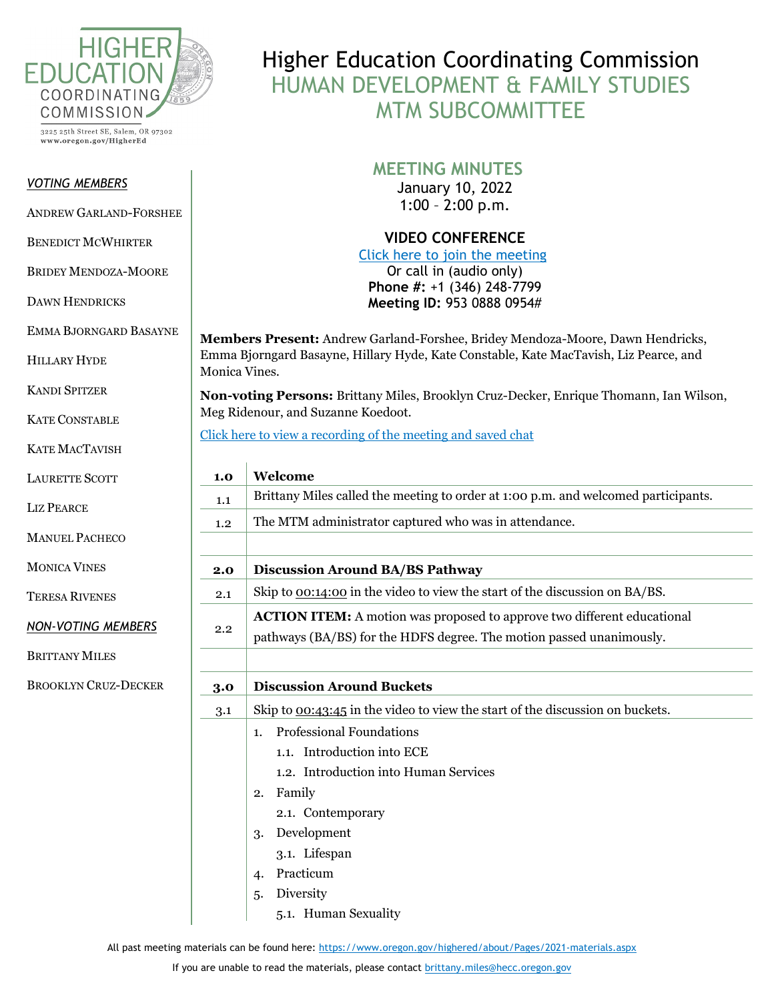

3225 25th Street SE, Salem, OR 97302 www.oregon.gov/HigherEd

## *VOTING MEMBERS*

ANDREW GARLAND-FORSHEE

BENEDICT MCWHIRTER

BRIDEY MENDOZA-MOORE

DAWN HENDRICKS

EMMA BJORNGARD BASAYNE

HILLARY HYDE

KANDI SPITZER

KATE CONSTABLE

KATE MACTAVISH

LAURETTE SCOTT

LIZ PEARCE

MANUEL PACHECO

MONICA VINES

TERESA RIVENES

*NON-VOTING MEMBERS*

BRITTANY MILES

BROOKLYN CRUZ-DECKER

I

Higher Education Coordinating Commission HUMAN DEVELOPMENT & FAMILY STUDIES MTM SUBCOMMITTEE

## **MEETING MINUTES**

January 10, 2022 1:00 – 2:00 p.m.

**VIDEO CONFERENCE**

[Click here to join the meeting](https://bluecc.zoom.us/j/95308880954) Or call in (audio only) **Phone #:** +1 (346) 248-7799 **Meeting ID:** 953 0888 0954#

**Members Present:** Andrew Garland-Forshee, Bridey Mendoza-Moore, Dawn Hendricks, Emma Bjorngard Basayne, Hillary Hyde, Kate Constable, Kate MacTavish, Liz Pearce, and Monica Vines.

**Non-voting Persons:** Brittany Miles, Brooklyn Cruz-Decker, Enrique Thomann, Ian Wilson, Meg Ridenour, and Suzanne Koedoot.

[Click here to view a recording of the meeting and saved chat](https://bluecc.zoom.us/rec/play/W_DVpVAsryh4Yt7JRHoFq3SDeKkDCwDNpKaBfC0jcBVMcZNjHbHWowHYdkfADpXEqITgNYCGvbxI6u_E.9DC8B_DTsEWIs277?continueMode=true&_x_zm_rtaid=qv8z7yLSToGyqtY5MoYemQ.1638480842578.8dacbe72d45db131f410f08b1682dcdf&_x_zm_rhtaid=538)

| 1.0 | Welcome                                                                            |
|-----|------------------------------------------------------------------------------------|
| 1.1 | Brittany Miles called the meeting to order at 1:00 p.m. and welcomed participants. |
| 1.2 | The MTM administrator captured who was in attendance.                              |
|     |                                                                                    |
| 2.0 | <b>Discussion Around BA/BS Pathway</b>                                             |
| 2.1 | Skip to <u>00:14:00</u> in the video to view the start of the discussion on BA/BS. |
| 2.2 | <b>ACTION ITEM:</b> A motion was proposed to approve two different educational     |
|     | pathways (BA/BS) for the HDFS degree. The motion passed unanimously.               |
|     |                                                                                    |
| 3.0 | <b>Discussion Around Buckets</b>                                                   |
| 3.1 | Skip to $0.43:45$ in the video to view the start of the discussion on buckets.     |
|     | <b>Professional Foundations</b><br>$\mathbf{1}$ .                                  |
|     | 1.1. Introduction into ECE                                                         |
|     | 1.2. Introduction into Human Services                                              |
|     | Family<br>2.                                                                       |
|     | 2.1. Contemporary                                                                  |
|     | Development<br>3.                                                                  |
|     | 3.1. Lifespan                                                                      |
|     | Practicum<br>4.                                                                    |
|     | Diversity<br>5.                                                                    |
|     | 5.1. Human Sexuality                                                               |

All past meeting materials can be found here: <https://www.oregon.gov/highered/about/Pages/2021-materials.aspx>